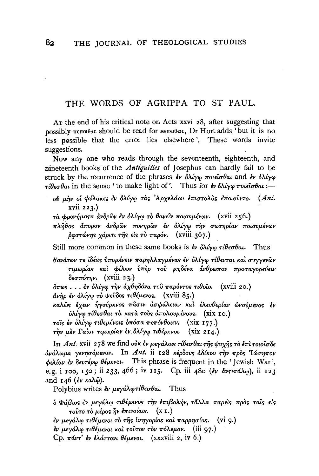## THE WORDS OF AGRIPPA TO ST PAUL.

AT the end of his critical note on Acts xxvi 28, after suggesting that possibly πεποιθας should be read for Mεπειθεις, Dr Hort adds 'but it is no less possible that the error lies elsewhere '. These words invite suggestions.

Now any one who reads through the seventeenth, eighteenth, and nineteenth books of the *Antiquities* of Josephus can hardly fail to be struck by the recurrence of the phrases εν όλίγω ποιείσθαι and εν όλίγω  $\tau \mathcal{U}$  and in the sense 'to make light of'. Thus for  $\mathcal{U}$  or  $\mathcal{U}$   $\tau$  or  $\mathcal{U}$   $\tau$ 

- ofJ p.~v 0~ cpvAaKE<; lv oA.{y'f Ta<; 'ApxeM.ov E'TrtUTOAa<; l-rrowvVTo. *(Ant.*  xvii 223.)
- τα φρονήματα ανδρών εν ολίγω το θανείν ποιουμένων. (xvii 256.)
- $\pi\lambda\hat{\eta}\theta$ os άπορον ανδρών πονηρών εν όλίγω την σωτηρίαν ποιουμένων  $\delta$ αστώνης χάριτι της είς τὸ παρόν. (xviii 367.)

Still more common in these same books is  $\partial \phi$   $\partial \partial \psi$   $\partial \phi$   $\partial \theta$ at. Thus

 $\theta$ ανάτων τε ἰδέας ὑπομένειν παρηλλαγμένας ἐν ὀλίγω τίθενται καὶ συγγενῶν τιμωρίας και φίλων ύπερ του μηδένα άνθρωπον προσαγορεύειν  $\delta \epsilon \sigma \pi \acute{\sigma} \tau \eta \nu$ . (xviii 23.)

 $\delta \pi \omega s$ ...έν ολίγω την αχθηδόνα του παρόντος τιθοίο. (xviii 20.)  $d\nu$ ήρ έν όλίγω τὸ ψεῦδος τιθέμενος. (xviii 85.)

καλῶς ἔχειν ἡγούμενος πῶσιν ἀσφάλειαν καὶ ἐλευθερίαν ὦνούμενος ἐν  $\delta \lambda'$ ίγω τίθεσθαι τὰ κατὰ τοὺς ἀπολουμένους. (xix 10.)

 $\tau$ οΐς έν όλίγω τιθεμένοις όπόσα πεπόνθοιεν. (xix 177.)

In *Ant.* xvii 278 we find ούκ εν μεγάλοις τίθεσθαι της ψυχης το επι τοιοίσδε <u>άνάλωμα γενησόμενον.</u> In Ant. ii 128 κέρδους άδίκου την προς 'Ιώσηπον  $\phi$ *iλίαν έν δευτέρω θέμενοι.* This phrase is frequent in the 'Jewish War', e.g. i 100, 150; ii 233, 466; iv 115. Cp. iii 480 (ev avraraA $\omega$ ), ii 123 and 146 (*εν κα*λωρ).

Polybius writes  $\partial \psi$   $\mu \partial \phi$   $\partial \phi$   $\partial \theta$   $\partial \mu$ . Thus

 $\delta$  Φάβιος έν μεγάλω τιθέμενος την έπιβολήν, τάλλα παρείς πρός ταίς είς  $\tau$ ούτο τὸ μέρος ἦν ἐπινοίαις. (x 1.)

εν μεγάλω τιθέμενοι τὸ τῆς ἰσηγορίας καὶ παρρησίας. (vi 9.)

εν μεγάλω τιθέμενοι και τούτον τον πόλεμον. (iii 97.)

Cp.  $\pi \Delta v \tau'$  εν ελάττονι θέμενοι. (xxxviii 2, iv 6.)

 $\tau$ ήν μεν Γαΐου τιμωρίαν εν ολίγω τιθέμενοι. (xix 214.)